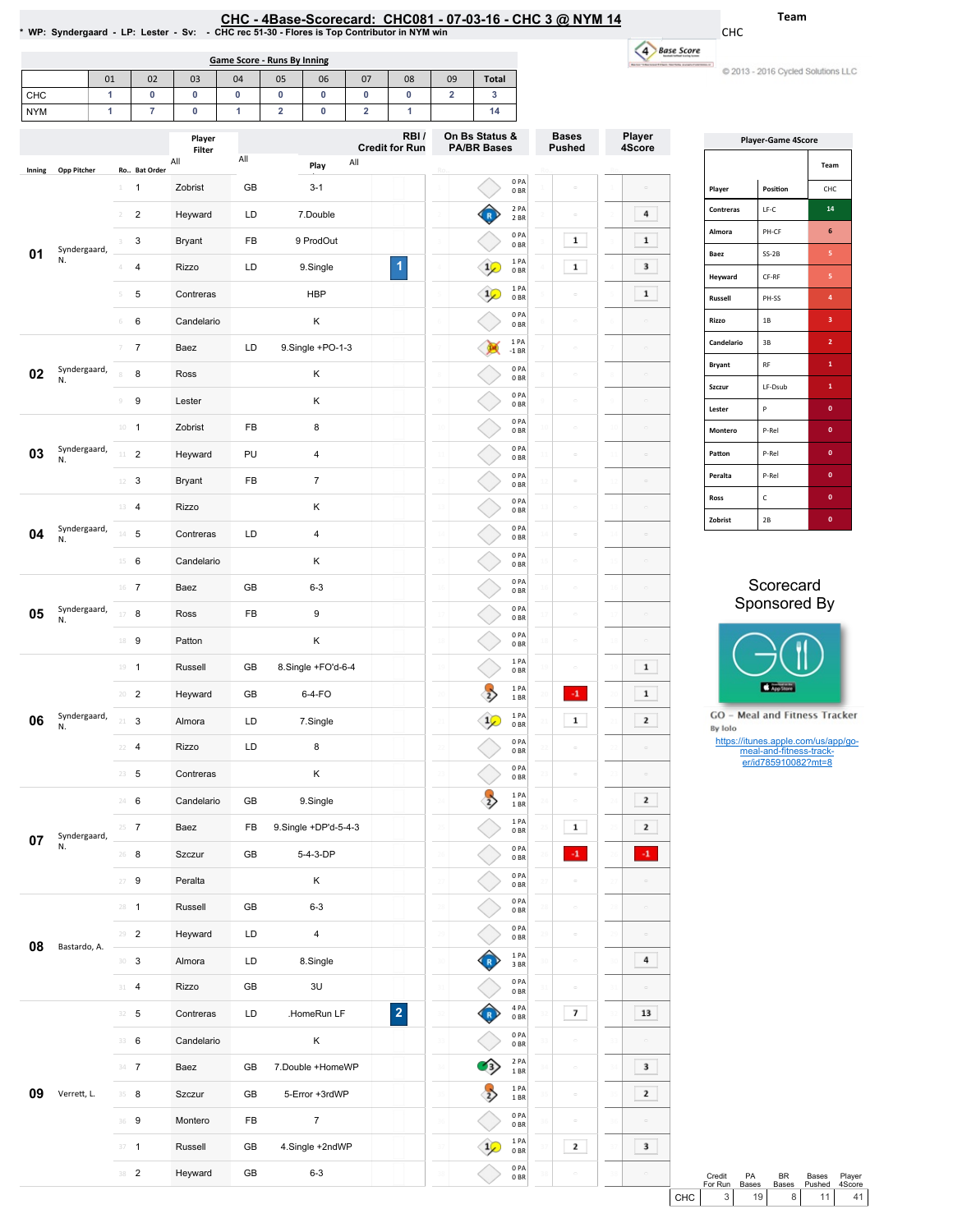| CHC - 4Base-Scorecard: CHC081 - 07-03-16 - CHC 3 @ NYM 14 |  |  |
|-----------------------------------------------------------|--|--|
|                                                           |  |  |

9 10 0PA 0BR 0PA 0BR

◇

9 10 Ro..

Player 4Score

 $\boxed{4}$ 

 $\boxed{\phantom{1}1}$  $\overline{\phantom{a}}$ 

 $\boxed{1}$ 

4 Base Score .<br>..........

10

Team

CHC

-

C 2013 - 2016 Cycled Solutions LLC

|            |                    |                | * WP: Syndergaard - LP: Lester - Sv: - CHC rec 51-30 - Flores is Top Contributor in NYM win |                  |                                    |    |                  |     |                               |                |                                          |                               |
|------------|--------------------|----------------|---------------------------------------------------------------------------------------------|------------------|------------------------------------|----|------------------|-----|-------------------------------|----------------|------------------------------------------|-------------------------------|
|            |                    |                |                                                                                             |                  | <b>Game Score - Runs By Inning</b> |    |                  |     |                               |                |                                          |                               |
|            |                    | 01             | 02                                                                                          | 03               | 04                                 | 05 | 06               | 07  | 08                            | 09             | <b>Total</b>                             |                               |
| <b>CHC</b> |                    | 1              | 0                                                                                           | 0                | 0                                  | 0  | 0                | 0   | $\mathbf 0$                   | $\overline{2}$ | 3                                        |                               |
| <b>NYM</b> |                    | 1              | 7                                                                                           | 0                | 1                                  | 2  | 0                | 2   | 1                             |                | 14                                       |                               |
|            |                    |                |                                                                                             | Player<br>Filter | All                                |    |                  |     | RBI/<br><b>Credit for Run</b> |                | On Bs Status &<br><b>PA/BR Bases</b>     | <b>Bases</b><br><b>Pushed</b> |
| Inning     | Opp Pitcher        |                | Ro Bat Order                                                                                | All              |                                    |    | Play             | All |                               | Ro.            |                                          |                               |
|            |                    | 1              | 1                                                                                           | Zobrist          | GB                                 |    | $3 - 1$          |     |                               |                | 0 PA<br>0 <sub>BR</sub>                  |                               |
|            |                    | $\overline{2}$ | 2                                                                                           | Heyward          | LD                                 |    | 7.Double         |     |                               |                | 2 PA<br>2BR                              |                               |
| 01         | Syndergaard,       | $\mathbb{R}$   | 3                                                                                           | Bryant           | FB                                 |    | 9 ProdOut        |     |                               | 3.             | 0PA<br>0 <sub>BR</sub>                   | $\mathbf{1}$                  |
|            | N.                 | Δ              | $\overline{4}$                                                                              | Rizzo            | LD                                 |    | 9.Single         |     | 1                             |                | 1 PA<br>$1\sqrt{ }$<br>0 <sub>BR</sub>   | 1                             |
|            |                    | 5              | 5                                                                                           | Contreras        |                                    |    | <b>HBP</b>       |     |                               |                | 1 PA<br>$\frac{1}{2}$<br>0 <sub>BR</sub> |                               |
|            |                    |                | 6<br>6                                                                                      | Candelario       |                                    |    | K                |     |                               | 6              | 0PA<br>0 <sub>BR</sub>                   | $\circ$                       |
|            |                    | 7              | $\overline{7}$                                                                              | Baez             | LD                                 |    | 9.Single +PO-1-3 |     |                               |                | 1 PA<br>$-1$ BR                          |                               |
| 02         | Syndergaard,<br>N. |                | 8                                                                                           | Ross             |                                    |    | K                |     |                               | 8              | 0PA<br>0 <sub>BR</sub>                   |                               |

9 9 Lester K

10 1 Zobrist FB 8

|                | <b>Player-Game 4Score</b> |                |
|----------------|---------------------------|----------------|
|                |                           | Team           |
| Player         | Position                  | CHC            |
| Contreras      | LF-C                      | 14             |
| Almora         | PH-CF                     | 6              |
| Baez           | $SS-2B$                   | 5              |
| Heyward        | CF-RF                     | 5              |
| <b>Russell</b> | PH-SS                     | 4              |
| Rizzo          | 1B                        | 3              |
| Candelario     | 3B                        | $\overline{2}$ |
| <b>Bryant</b>  | <b>RF</b>                 | $\mathbf{1}$   |
| Szczur         | LF-Dsub                   | $\mathbf{1}$   |
| Lester         | P                         | $\mathbf{0}$   |
| Montero        | P-Rel                     | $\mathbf{0}$   |
| Patton         | P-Rel                     | $\mathbf{0}$   |
| Peralta        | P-Rel                     | $\mathbf{0}$   |
| Ross           | C                         | $\mathbf{0}$   |
| Zobrist        | 2B                        | $\mathbf{0}$   |

#### Scorecard Sponsored By



**GO** - Meal and Fitness Tracker By Iolo

https://itunes.apple.com/us/app/go-meal-and-fitness-track-er/id785910082?mt=8

| 03 | Syndergaard,<br>N. |          | $11$ – $2$       | Heyward       | PU | $\pmb{4}$            |                         |                                   |                      | 0PA<br>0B                          |                          |    |                          |
|----|--------------------|----------|------------------|---------------|----|----------------------|-------------------------|-----------------------------------|----------------------|------------------------------------|--------------------------|----|--------------------------|
|    |                    |          | $12 \t3$         | <b>Bryant</b> | FB | $\boldsymbol{7}$     |                         | $\frac{1}{2}$                     |                      | 0PA<br>0 <sub>BR</sub>             | $\alpha$                 |    |                          |
|    |                    |          | $13 - 4$         | Rizzo         |    | Κ                    |                         | 13                                |                      | 0PA<br>0 <sub>BR</sub>             | $\equiv$                 |    |                          |
| 04 | Syndergaard,<br>N. |          | $14$ – ${\bf 5}$ | Contreras     | LD | $\pmb{4}$            |                         | $1\%$                             |                      | 0PA<br>0 <sub>BR</sub>             | $\bar{a}$                |    | $\Box$                   |
|    |                    |          | $15 \t 6$        | Candelario    |    | Κ                    |                         | 15                                |                      | 0PA<br>0B                          | $\bar{\phantom{a}}$      |    | $\Box$                   |
|    |                    |          | $16$ 7           | Baez          | GB | $6 - 3$              |                         | $\begin{array}{c} 16 \end{array}$ |                      | 0PA<br>0B                          | $\circ$                  |    | $\sim$                   |
| 05 | Syndergaard,<br>N. |          | $17 - 8$         | Ross          | FB | $\boldsymbol{9}$     |                         | $1\overline{1}$                   |                      | 0PA<br>0BR                         | $\Box$                   |    |                          |
|    |                    |          | 18 9             | Patton        |    | Κ                    |                         | $\frac{18}{2}$                    |                      | 0 <sub>PA</sub><br>0 <sub>BR</sub> | $\bar{a}$                |    |                          |
|    |                    | $19 - 1$ |                  | Russell       | GB | 8.Single +FO'd-6-4   |                         | 19                                |                      | 1 PA<br>0 <sub>BR</sub>            | $\equiv$                 |    | $\mathbf 1$              |
|    |                    |          | $20 - 2$         | Heyward       | GB | 6-4-FO               |                         | $\overline{20}$                   | $\overrightarrow{2}$ | 1PA<br>$1\,\mathrm{BR}$            | $\cdot 1$                |    | $\mathbf 1$              |
| 06 | Syndergaard,<br>N. | 21       | 3                | Almora        | LD | 7.Single             |                         | $\overline{2}$                    | $\frac{1}{2}$        | 1 PA<br>0BR                        | $\mathbf 1$              |    | $\mathbf{z}$             |
|    |                    | 22       | 4                | Rizzo         | LD | 8                    |                         | $2\overline{2}$                   |                      | 0PA<br>0BR                         | $\hskip10mm\Box$         |    |                          |
|    |                    |          | $23 \t5$         | Contreras     |    | Κ                    |                         | $2\overline{z}$                   |                      | 0PA<br>0BR                         | $\hskip1.6pt\Box$        |    | $\overline{\phantom{a}}$ |
|    |                    | 24       | 6                | Candelario    | GB | 9.Single             |                         | 24                                | $\overline{2}$       | 1 PA<br>1 BR                       | $\Box$                   |    | $\mathbf{z}$             |
|    | Syndergaard,<br>N. | 25       | $\overline{7}$   | Baez          | FB | 9.Single +DP'd-5-4-3 |                         | $\overline{25}$                   |                      | 1PA<br>0BR                         | $\mathbf 1$              |    | 2                        |
| 07 |                    |          | $26$ 8           | Szczur        | GB | 5-4-3-DP             |                         | 26                                |                      | 0PA<br>0BR                         | $\cdot1$                 |    | $\cdot 1$                |
|    |                    | 27       | 9                | Peralta       |    | Κ                    |                         | $\overline{2}$                    |                      | 0PA<br>0BR                         | $\Box$                   |    |                          |
|    |                    | $28 - 1$ |                  | Russell       | GB | $6 - 3$              |                         | $_{28}$                           |                      | 0PA<br>0BR                         | $\bar{\phantom{a}}$      |    | $\sim$                   |
|    |                    |          | $29 - 2$         | Heyward       | LD | 4                    |                         | 25                                |                      | 0 PA<br>0BR                        | $\Box$                   |    | $\Box$                   |
| 08 | Bastardo, A.       |          | 30 <sup>3</sup>  | Almora        | LD | 8.Single             |                         | 30                                | $\mathbb{R}$         | 1PA<br>3BR                         | $\hfill \square$         |    | 4                        |
|    |                    |          | 31 4             | Rizzo         | GB | 3U                   |                         | $\overline{31}$                   |                      | 0PA<br>0BR                         | $\bar{\phantom{a}}$      |    |                          |
|    |                    | 32       | 5                | Contreras     | LD | .HomeRun LF          | $\overline{\mathbf{c}}$ | $\overline{32}$                   | $\mathbb{R}$         | 4 PA<br>0BR                        | $\overline{\mathbf{z}}$  |    | 13                       |
|    |                    |          | 33 6             | Candelario    |    | Κ                    |                         | 33                                |                      | 0 PA<br>0 <sub>BR</sub>            | $\equiv$                 |    |                          |
|    |                    |          | $34 - 7$         | Baez          | GB | 7.Double +HomeWP     |                         | $\overline{34}$                   | 兮                    | 2 PA<br>1 BR                       | $\overline{\phantom{a}}$ |    | 3                        |
| 09 | Verrett, L.        |          | 35 8             | Szczur        | GB | 5-Error +3rdWP       |                         | $\overline{35}$                   | $\overrightarrow{2}$ | 1PA<br>1 B R                       | $\overline{\phantom{a}}$ | 35 | 2                        |
|    |                    | 36       | 9                | Montero       | FB | $\overline{7}$       |                         | 36                                |                      | 0PA<br>0BR                         | $\bar{\phantom{a}}$      | 36 |                          |
|    |                    |          | $37 - 1$         | Russell       | GB | 4.Single +2ndWP      |                         | 37                                | $\frac{1}{2}$        | 1PA<br>0BR                         | $\mathbf{z}$             |    | 3                        |
|    |                    |          | 38 <sup>2</sup>  | Heyward       | GB | $6 - 3$              |                         | 38                                |                      | 0PA<br>0BR                         |                          | 38 | $\bar{\phantom{a}}$      |

Credit ForRun PA Bases BR Bases Credit PA BR Bases Player<br>
For Run Bases Bases Pushed 4Score<br>
CHC 3 19 8 11 41 Player 4Score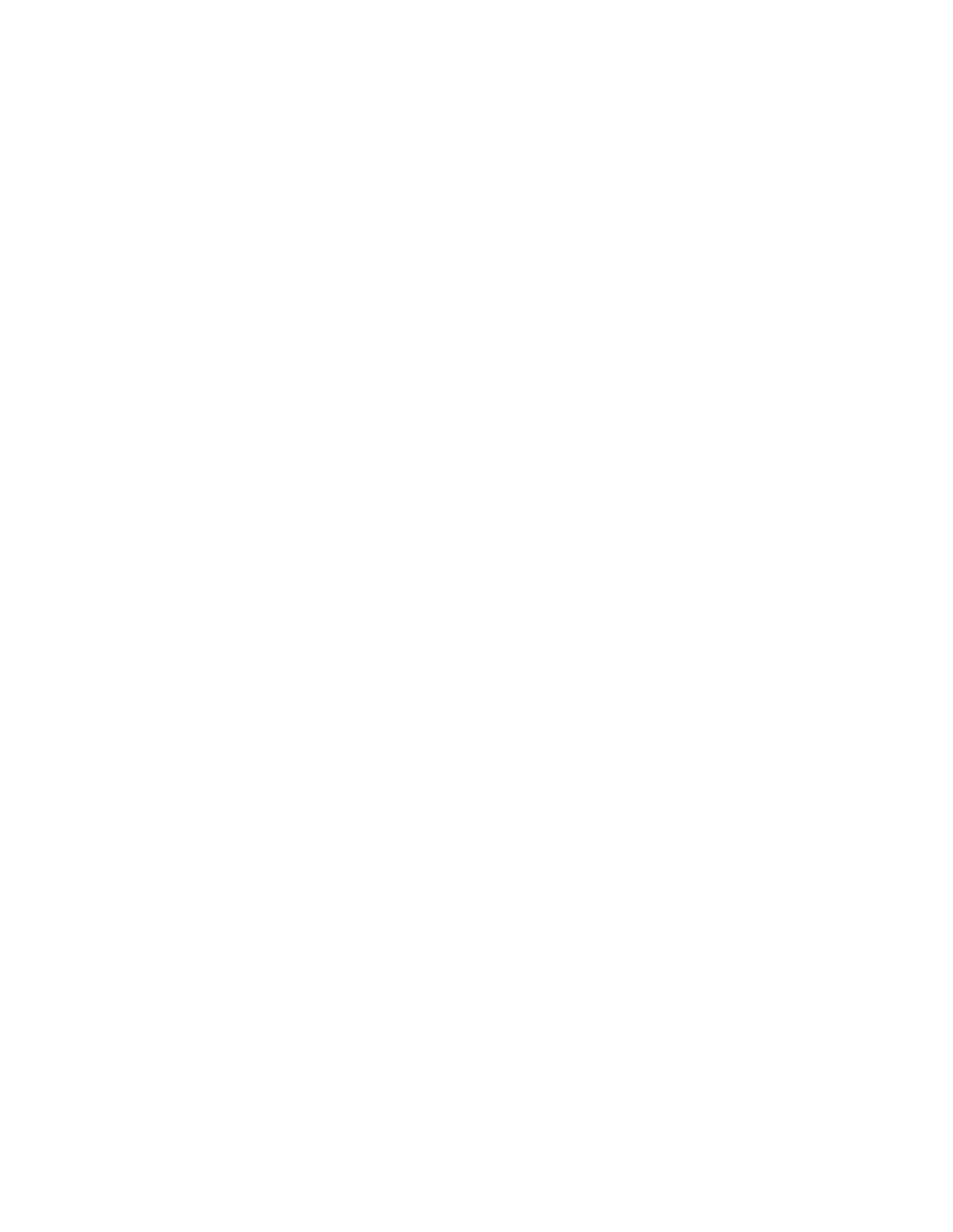|                  |                                                            | ìí                   |           | ìî          | ìï                             | ìð                   | ìñ | <u>' u ^ } Œr Zµv• Ç/vv]v</u> P<br>ìò | ìó                   | ìô             | ìõ           | d}šo                                                                           |         |        |                                     |                                                       |                      |
|------------------|------------------------------------------------------------|----------------------|-----------|-------------|--------------------------------|----------------------|----|---------------------------------------|----------------------|----------------|--------------|--------------------------------------------------------------------------------|---------|--------|-------------------------------------|-------------------------------------------------------|----------------------|
| $8 + 8$          |                                                            |                      |           |             |                                |                      |    |                                       |                      |                |              |                                                                                |         |        |                                     |                                                       |                      |
| 1 < 0            |                                                            |                      |           |             |                                |                      |    |                                       |                      |                |              |                                                                                |         |        |                                     |                                                       |                      |
|                  |                                                            |                      |           |             | Wo Ç Œ                         |                      |    |                                       |                      | $5\,\%$        |              | 2 Q%V 6 VDWXV                                                                  | %DVHV   | 30 NHJ |                                     | WoÇŒ u ð^}Œ                                           |                      |
| /vv]vP K‰W)§Z OE |                                                            |                      |           | Z} XX ŠKŒ O | &još Œ<br>$\pmb{\circledcirc}$ | $\pmb{\circledcirc}$ |    | ₩Ç                                    | $\pmb{\circledcirc}$ | & UHGLWIRU5 XQ |              | 3\$ %5 %DVHV                                                                   | 3 XVKHG | 6FRUH  |                                     |                                                       | d u                  |
|                  |                                                            |                      |           |             | $=$ REUMV                      | $^*$ %               |    |                                       |                      |                |              | i W<br>$i \, z$                                                                |         |        | Wo Ç Œ                              | VV∙JŸ} v                                              | $\bar{\nu}$          |
|                  |                                                            |                      | î         |             | $+HZDUS$                       | $\prime$ .           |    | ' RXE®                                |                      |                |              | îW<br>$i$ $z$                                                                  |         |        | } všOEOE                            | $\rtimes$                                             | íð                   |
|                  |                                                            |                      |           |             | <b>%UDQW</b>                   | ) %                  |    | 3 URG2 XW                             |                      |                |              | i W<br>$i \, z$                                                                |         |        |                                     | Wr &                                                  | ò                    |
|                  | $\frac{1}{2}$ or order $\frac{1}{2}$                       |                      | ð         |             | $5 \,\sharp\,$ R               | $\prime$ '           |    | $61QJ$ $OH$                           |                      |                |              | í W                                                                            |         |        | j.                                  | $M\gamma$                                             |                      |
|                  |                                                            |                      | ñ         |             | & ROWHUDV                      |                      |    | $+ \%3$                               |                      |                |              | $i \, z$<br>í W                                                                |         |        | , ÇÁ Œ                              | &Z&                                                   |                      |
|                  |                                                            |                      |           |             |                                |                      |    |                                       |                      |                |              | $i$ Z<br>i W                                                                   |         |        | Zµ o                                | Wr∿                                                   |                      |
|                  |                                                            |                      | ò         |             | & DOGHOUR                      |                      |    | $\sim$                                |                      |                |              | i Z                                                                            |         |        | zjì ì}<br>$v \circ \mathbb{G}$      | $\mathbf i$<br>$\mathbf T$                            | $\hat{\mathbf{I}}$ . |
|                  |                                                            |                      | ó         |             | %DH                            | $\prime$ '           |    | 6 Q OH 32                             |                      |                |              | $\begin{array}{c} \text{i} \ \text{W} \\ \text{rí} \quad \text{Z} \end{array}$ |         |        | 0Ç vš                               | Z&                                                    | $\mathfrak{f}$ .     |
|                  | ^Çv<br>EX                                                  | OP OEU               |           |             | 5 RW                           |                      |    | $\cdot$                               |                      |                |              | i W<br>$i$ z                                                                   |         |        | ^Ì ÌμŒ                              | $\rightarrow$ $\sim$ $\rightarrow$                    | $\mathfrak{f}_-$     |
|                  |                                                            |                      | õ         |             | / HMMU                         |                      |    | $\cdot$                               |                      |                |              | i W<br>$i \, z$                                                                |         |        | $> \cdot \check{\mathsf{s}} \times$ | ${\sf W}$                                             | ì.                   |
|                  |                                                            |                      | $\Box$    |             | $=$ REUMV                      | ) %                  |    |                                       |                      |                |              | i W<br>i Z                                                                     |         |        | $D}$ vš $E$                         | WZ o                                                  | $\mathbf{i}$         |
|                  | ^Çv<br>EX                                                  | OP OEU               |           |             | $+HZDUS$                       | 38                   |    |                                       |                      |                |              | i W<br>ì Z                                                                     |         |        | W©} v                               | WZ o                                                  | $\mathbf{i}$         |
|                  |                                                            |                      | íî        |             | <b>VIOLAN</b>                  | ) %                  |    |                                       |                      |                |              | i W<br>$i$ Z                                                                   |         |        | WŒš                                 | WZ o                                                  | $\mathbf{1}$         |
|                  |                                                            |                      | íï.       |             | $5 \,\sharp\,$ R               |                      |    | $\epsilon$                            |                      |                |              | i W<br>$i$ $z$                                                                 |         |        | Z} ••                               |                                                       | $\mathbf{i}$         |
|                  | $\overline{C}$ or $\overline{C}$ $\overline{C}$            |                      | íð        |             | & ROWHUDV                      | $\prime$ '           |    |                                       |                      |                |              | $\begin{array}{c} i \ W \\ i \ Z \end{array}$                                  |         |        | $\bullet \}$ OEš                    | $\hat{\mathbb{I}}$                                    | $\mathbf{1}$         |
|                  |                                                            |                      | íñ        |             | & DOGHOUR                      |                      |    |                                       |                      |                |              | i W                                                                            |         |        |                                     |                                                       |                      |
|                  |                                                            |                      |           |             |                                |                      |    |                                       |                      |                |              | i Z<br>i W                                                                     |         |        |                                     | 6 FRUHFDUG                                            |                      |
|                  | OP OEU<br>^Qv<br>EX                                        | íò                   |           | %DHJ        | $^*$ %                         |                      |    |                                       |                      |                | $i$ Z<br>i W |                                                                                |         |        | 6 SRQVRUHG%                         |                                                       |                      |
|                  |                                                            | íó                   |           | 5 RW        | ) %                            |                      |    |                                       |                      |                | i Z<br>i W   |                                                                                |         |        |                                     |                                                       |                      |
|                  |                                                            |                      | íô        |             | 3 DWRQ                         |                      |    | $\sim$                                |                      |                |              | ì Z                                                                            |         |        |                                     |                                                       |                      |
|                  |                                                            |                      | íõ        |             | 5 XVVHO                        | $*$ %                |    | 6LQU <del>D</del> H ) 2 G             |                      |                |              | í W<br>$i$ Z                                                                   |         |        |                                     |                                                       |                      |
|                  |                                                            |                      | îì.       |             | $+HZDUS$                       | $*$ %                |    | 2                                     |                      |                |              | $\begin{array}{c} i & W \\ i & Z \end{array}$                                  |         |        |                                     |                                                       |                      |
|                  | $\frac{{}^{\prime}C_{\textrm{V}}}{{\textrm{E}}X}$ open ceu |                      |           |             | \$ @ RUD                       | $\prime$ '           |    | $61QJ$ $\Theta$                       |                      |                |              | í W<br>$i$ Z                                                                   |         |        |                                     |                                                       |                      |
|                  |                                                            |                      | îî        |             | 5 L ] R                        | $\prime$ .           |    |                                       |                      |                |              | ì W<br>i Z                                                                     |         |        |                                     | KWASV LWACHVDSSOH FRP XVDSSJR<br>PHDODOG ILLOHAV WORN |                      |
|                  |                                                            |                      | $\hat{1}$ |             | & ROWHUDV                      |                      |    | $\sim$                                |                      |                |              | i W<br>i Z                                                                     |         |        |                                     | <b>HUIG</b>                                           | <u>"PW</u>           |
|                  |                                                            |                      | îŏ        |             | & DOGHODUR                     | $*$ %                |    | $61QJ$ $O$                            |                      |                |              | í W<br>$i$ $z$                                                                 |         |        |                                     |                                                       |                      |
|                  |                                                            |                      | îñ        |             | %DH                            | ) %                  |    | 6LQJOH '3G                            |                      |                |              | i W<br>ì Z                                                                     |         |        |                                     |                                                       |                      |
|                  | ^Çv<br>EX                                                  | <b>OP OEU</b>        | îò        |             | 6] FJ XU                       | $*$ %                |    | $\overline{\phantom{a}}$ 3            |                      |                |              | i W                                                                            |         |        |                                     |                                                       |                      |
|                  |                                                            |                      | îó        |             | 3HDOD                          |                      |    |                                       |                      |                |              | i Z<br>i W                                                                     |         |        |                                     |                                                       |                      |
|                  |                                                            |                      |           |             |                                |                      |    | $\sim$                                |                      |                |              | i Z<br>i W                                                                     |         |        |                                     |                                                       |                      |
|                  |                                                            |                      | ÎÔ        |             | 5 XVVHO                        | $*$ %                |    |                                       |                      |                |              | ìZ<br>i W                                                                      |         |        |                                     |                                                       |                      |
|                  |                                                            | $\bullet$ š Œ} U X – | ÎÕ        |             | $+HZDIG$                       | $\prime$ .           |    |                                       |                      |                |              | i Z                                                                            |         |        |                                     |                                                       |                      |
|                  |                                                            |                      | Tì.       |             | \$ @ RUD                       | $\prime$ .           |    | $61QJ$ $\Theta$                       |                      |                |              | i W<br>$i$ Z                                                                   |         |        |                                     |                                                       |                      |
|                  |                                                            |                      | ΪĹ        |             | 5 L ] R                        | $*$ %                |    | 8                                     |                      |                |              | i W<br>i Z                                                                     |         |        |                                     |                                                       |                      |
|                  |                                                            |                      | ΪÎ        |             | & ROWHUDV                      | $\prime$ .           |    | $+RP$ H <sub>5</sub> $XQ/$ )          |                      |                |              | ðW<br>$i$ Z                                                                    |         |        |                                     |                                                       |                      |
|                  |                                                            |                      | TT.       |             | & DOGHODUR                     |                      |    | $\sim 10^{-11}$                       |                      |                |              | i W<br>i Z                                                                     |         |        |                                     |                                                       |                      |
|                  |                                                            |                      | ïð        |             | %DH                            | $*$ %                |    | 'RXEOH +RPH 3                         |                      |                |              | îW<br>$i$ $z$                                                                  |         |        |                                     |                                                       |                      |
|                  | S <b>OEECLEX</b>                                           |                      | ïñ        |             | 6] FJ XU                       | $*$ %                |    | (URU LG 3                             |                      |                |              | i W<br>$i$ $z$                                                                 |         |        |                                     |                                                       |                      |
|                  |                                                            |                      | Ϊò        |             | 0 ROMUR                        | ) %                  |    |                                       |                      |                |              | i W<br>i Z                                                                     |         |        |                                     |                                                       |                      |
|                  |                                                            |                      |           |             |                                |                      |    |                                       |                      |                |              |                                                                                |         |        |                                     |                                                       |                      |
|                  |                                                            |                      | ΪÓ        |             | 5 XVVHO                        | $*$ %                |    | 6 Q O B Q G 3                         |                      |                |              | i W<br>ìZ                                                                      |         |        |                                     |                                                       |                      |

8+8 %DVH6FRUFDLG 8+8

 $8+8$  # 1 < 0

30 N<br>6 FRUH

 $d<sub>u</sub>$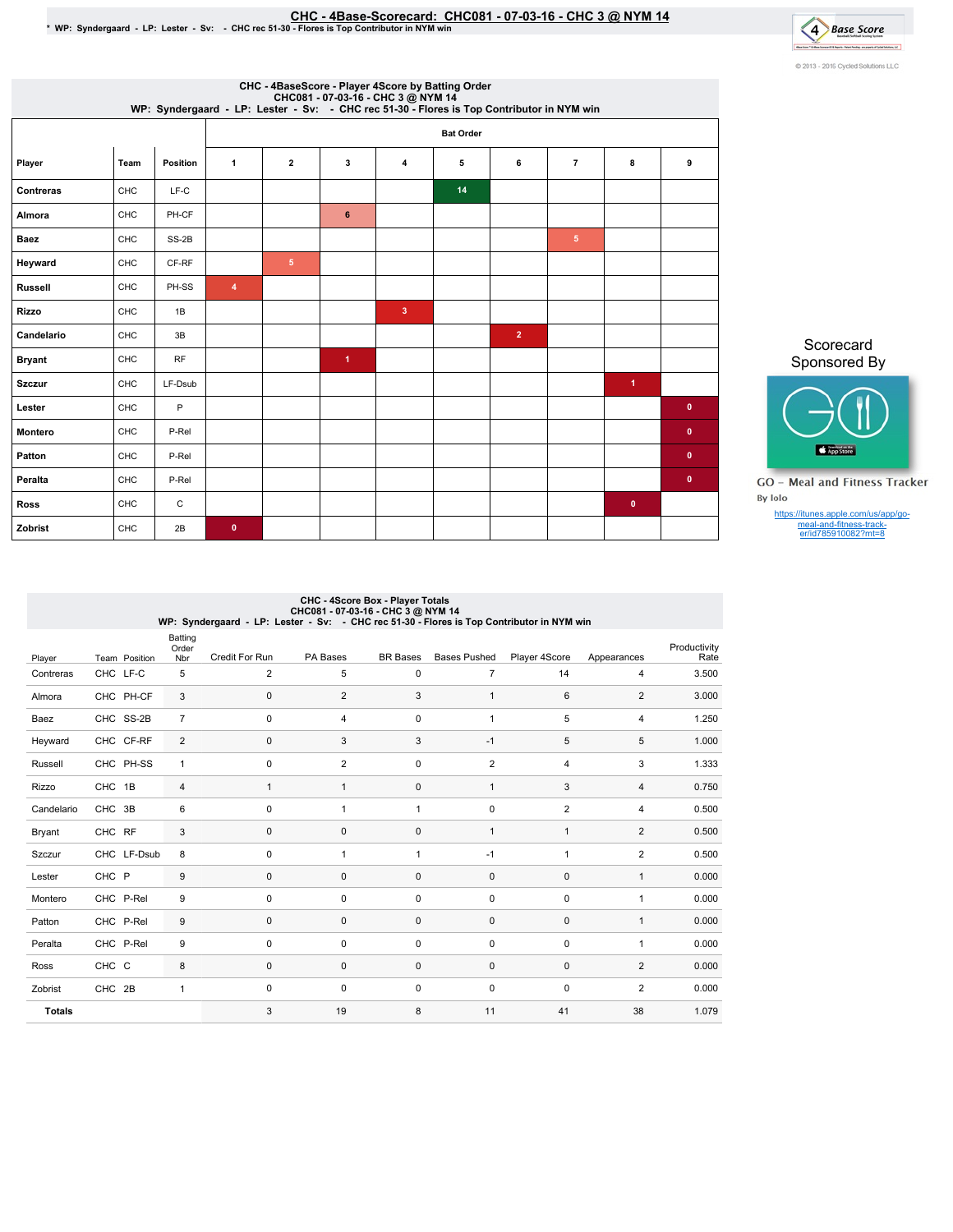## EHC-4Base-Scorecard: CHC081 - 07-03-16 - CHC 3 @ NYM 14<br>\* WP: Syndergaard - LP: Lester - Sv: - CHC rec 51-30 - Flores is Top Contributor in NYM win



|                  |            |             |                |                         |                      | CHC - 4BaseScore - Player 4Score by Batting Order<br>CHC081 - 07-03-16 - CHC 3 @ NYM 14<br>WP: Syndergaard - LP: Lester - Sv: - CHC rec 51-30 - Flores is Top Contributor in NYM win |                  |                |                 |                      |             |
|------------------|------------|-------------|----------------|-------------------------|----------------------|--------------------------------------------------------------------------------------------------------------------------------------------------------------------------------------|------------------|----------------|-----------------|----------------------|-------------|
|                  |            |             |                |                         |                      |                                                                                                                                                                                      | <b>Bat Order</b> |                |                 |                      |             |
| Player           | Team       | Position    | 1              | $\overline{\mathbf{2}}$ | 3                    | 4                                                                                                                                                                                    | 5                | 6              | $\overline{7}$  | 8                    | 9           |
| <b>Contreras</b> | CHC        | LF-C        |                |                         |                      |                                                                                                                                                                                      | 14               |                |                 |                      |             |
| Almora           | <b>CHC</b> | PH-CF       |                |                         | $6\phantom{1}$       |                                                                                                                                                                                      |                  |                |                 |                      |             |
| <b>Baez</b>      | <b>CHC</b> | SS-2B       |                |                         |                      |                                                                                                                                                                                      |                  |                | $5\phantom{.0}$ |                      |             |
| Heyward          | CHC        | CF-RF       |                | $5\phantom{.0}$         |                      |                                                                                                                                                                                      |                  |                |                 |                      |             |
| <b>Russell</b>   | <b>CHC</b> | PH-SS       | $\overline{4}$ |                         |                      |                                                                                                                                                                                      |                  |                |                 |                      |             |
| <b>Rizzo</b>     | CHC        | 1B          |                |                         |                      | $\overline{\mathbf{3}}$                                                                                                                                                              |                  |                |                 |                      |             |
| Candelario       | CHC        | 3B          |                |                         |                      |                                                                                                                                                                                      |                  | $\overline{2}$ |                 |                      |             |
| <b>Bryant</b>    | CHC        | RF          |                |                         | $\blacktriangleleft$ |                                                                                                                                                                                      |                  |                |                 |                      |             |
| <b>Szczur</b>    | CHC        | LF-Dsub     |                |                         |                      |                                                                                                                                                                                      |                  |                |                 | $\blacktriangleleft$ |             |
| Lester           | CHC        | P           |                |                         |                      |                                                                                                                                                                                      |                  |                |                 |                      | $\mathbf 0$ |
| Montero          | CHC        | P-Rel       |                |                         |                      |                                                                                                                                                                                      |                  |                |                 |                      | $\mathbf 0$ |
| Patton           | CHC        | P-Rel       |                |                         |                      |                                                                                                                                                                                      |                  |                |                 |                      | $\bullet$   |
| Peralta          | CHC        | P-Rel       |                |                         |                      |                                                                                                                                                                                      |                  |                |                 |                      | $\bullet$   |
| <b>Ross</b>      | CHC        | $\mathsf C$ |                |                         |                      |                                                                                                                                                                                      |                  |                |                 | $\mathbf 0$          |             |
| Zobrist          | CHC        | 2B          | $\mathbf{0}$   |                         |                      |                                                                                                                                                                                      |                  |                |                 |                      |             |

Scorecard Sponsored By



**GO** - Meal and Fitness Tracker By Iolo

https://itunes.apple.com/us/app/go-meal-and-fitness-track-er/id785910082?mt=8

# CHC - 4Score Box - Player Totals<br>CHC - 04C081 - 07-03-16 - CHC 3 @ NYM 14<br>WP: Syndergaard - LP: Lester - Sv: - CHC rec 51-30 - Flores is Top Contributor in NYM win

|                |            |               | Batting<br>Order |                |                |                 |                     |                |                | Productivity |
|----------------|------------|---------------|------------------|----------------|----------------|-----------------|---------------------|----------------|----------------|--------------|
| Player         |            | Team Position | Nbr              | Credit For Run | PA Bases       | <b>BR</b> Bases | <b>Bases Pushed</b> | Player 4Score  | Appearances    | Rate         |
| Contreras      |            | CHC LF-C      | 5                | $\overline{2}$ | 5              | 0               | $\overline{7}$      | 14             | 4              | 3.500        |
| Almora         |            | CHC PH-CF     | 3                | $\mathbf 0$    | $\overline{2}$ | 3               | $\mathbf{1}$        | 6              | $\overline{2}$ | 3.000        |
| Baez           |            | CHC SS-2B     | $\overline{7}$   | $\mathbf 0$    | $\overline{4}$ | $\mathbf 0$     | 1                   | 5              | 4              | 1.250        |
| Heyward        |            | CHC CF-RF     | $\overline{2}$   | 0              | 3              | 3               | $-1$                | 5              | 5              | 1.000        |
| <b>Russell</b> |            | CHC PH-SS     | 1                | $\mathbf 0$    | $\overline{2}$ | $\mathbf 0$     | $\overline{2}$      | 4              | 3              | 1.333        |
| Rizzo          | CHC 1B     |               | 4                | $\overline{1}$ | $\mathbf{1}$   | $\mathbf 0$     | $\mathbf{1}$        | 3              | 4              | 0.750        |
| Candelario     | CHC 3B     |               | 6                | $\mathbf 0$    | $\mathbf{1}$   | 1               | $\mathbf 0$         | $\overline{2}$ | $\overline{4}$ | 0.500        |
| Bryant         | <b>CHC</b> | <b>RF</b>     | 3                | $\mathbf 0$    | $\mathbf 0$    | $\mathbf 0$     | $\mathbf{1}$        | $\mathbf{1}$   | $\overline{2}$ | 0.500        |
| Szczur         |            | CHC LF-Dsub   | 8                | $\mathbf 0$    | $\mathbf{1}$   | 1               | $-1$                | $\mathbf{1}$   | $\overline{2}$ | 0.500        |
| Lester         | CHC P      |               | 9                | $\mathbf 0$    | $\mathbf 0$    | $\mathbf 0$     | 0                   | $\mathbf 0$    | $\mathbf{1}$   | 0.000        |
| Montero        |            | CHC P-Rel     | 9                | $\mathbf 0$    | $\mathbf 0$    | $\mathbf 0$     | 0                   | $\pmb{0}$      | 1              | 0.000        |
| Patton         |            | CHC P-Rel     | $9\,$            | $\mathbf 0$    | $\mathbf 0$    | $\mathbf 0$     | $\mathbf 0$         | $\mathbf 0$    | $\mathbf{1}$   | 0.000        |
| Peralta        |            | CHC P-Rel     | 9                | $\mathbf 0$    | $\mathbf 0$    | $\mathbf 0$     | $\mathbf 0$         | $\mathbf 0$    | 1              | 0.000        |
| Ross           | CHC C      |               | 8                | $\mathbf 0$    | $\mathbf 0$    | $\mathbf 0$     | $\mathbf 0$         | $\mathbf 0$    | $\overline{2}$ | 0.000        |
| Zobrist        | CHC 2B     |               | 1                | $\mathbf 0$    | 0              | $\mathbf 0$     | $\mathbf 0$         | 0              | $\overline{2}$ | 0.000        |
| <b>Totals</b>  |            |               |                  | 3              | 19             | 8               | 11                  | 41             | 38             | 1.079        |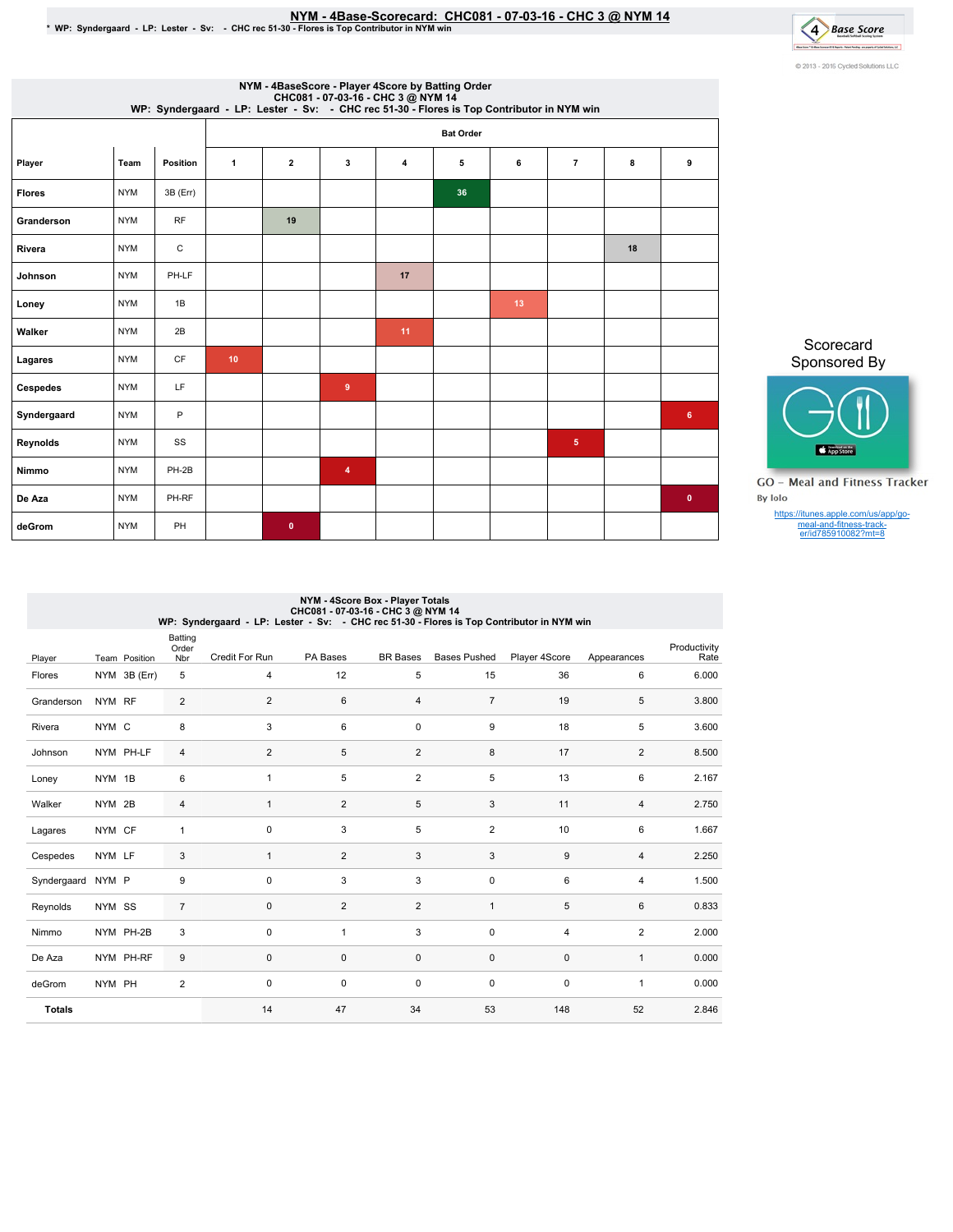## NYM - 4Base-Scorecard: CHC081 - 07-03-16 - CHC 3 @ NYM 14 × WP: Syndergaard - LP: Lester - Sv: - CHC rec 51-30<br>\* WP: Syndergaard - LP: Lester - Sv: - CHC rec 51-30 - Flores is Top Contributor in NYM win



|               |            |           |    |                         |                | NYM - 4BaseScore - Player 4Score by Batting Order |                  | CHC081 - 07-03-16 - CHC 3 @ NYM 14<br>WP: Syndergaard - LP: Lester - Sv: - CHC rec 51-30 - Flores is Top Contributor in NYM win |                |    |                |
|---------------|------------|-----------|----|-------------------------|----------------|---------------------------------------------------|------------------|---------------------------------------------------------------------------------------------------------------------------------|----------------|----|----------------|
|               |            |           |    |                         |                |                                                   | <b>Bat Order</b> |                                                                                                                                 |                |    |                |
| Player        | Team       | Position  | 1  | $\overline{\mathbf{2}}$ | 3              | $\overline{4}$                                    | 5                | 6                                                                                                                               | $\overline{7}$ | 8  | 9              |
| <b>Flores</b> | <b>NYM</b> | 3B (Err)  |    |                         |                |                                                   | 36               |                                                                                                                                 |                |    |                |
| Granderson    | <b>NYM</b> | <b>RF</b> |    | 19                      |                |                                                   |                  |                                                                                                                                 |                |    |                |
| Rivera        | <b>NYM</b> | С         |    |                         |                |                                                   |                  |                                                                                                                                 |                | 18 |                |
| Johnson       | <b>NYM</b> | PH-LF     |    |                         |                | 17                                                |                  |                                                                                                                                 |                |    |                |
| Loney         | <b>NYM</b> | 1B        |    |                         |                |                                                   |                  | 13                                                                                                                              |                |    |                |
| Walker        | <b>NYM</b> | 2B        |    |                         |                | 11                                                |                  |                                                                                                                                 |                |    |                |
| Lagares       | <b>NYM</b> | CF        | 10 |                         |                |                                                   |                  |                                                                                                                                 |                |    |                |
| Cespedes      | <b>NYM</b> | LF        |    |                         | 9              |                                                   |                  |                                                                                                                                 |                |    |                |
| Syndergaard   | <b>NYM</b> | P         |    |                         |                |                                                   |                  |                                                                                                                                 |                |    | $6\phantom{a}$ |
| Reynolds      | <b>NYM</b> | SS        |    |                         |                |                                                   |                  |                                                                                                                                 | $\sqrt{5}$     |    |                |
| Nimmo         | <b>NYM</b> | PH-2B     |    |                         | $\overline{4}$ |                                                   |                  |                                                                                                                                 |                |    |                |
| De Aza        | <b>NYM</b> | PH-RF     |    |                         |                |                                                   |                  |                                                                                                                                 |                |    | $\mathbf 0$    |
| deGrom        | <b>NYM</b> | PH        |    | $\bullet$               |                |                                                   |                  |                                                                                                                                 |                |    |                |

Scorecard Sponsored By



**GO** - Meal and Fitness Tracker By Iolo

https://itunes.apple.com/us/app/go-meal-and-fitness-track-er/id785910082?mt=8

# NYM - 4Score Box - Player Totals<br>CHC081 - 07-03-16 - CHC 19 - CHC 3 @ NYM 14<br>WP: Syndergaard - LP: Lester - Sv: - CHC rec 51-30 - Flores is Top Contributor in NYM win

| Player        |        | Team Position | Batting<br>Order<br>Nbr | Credit For Run | PA Bases       | <b>BR</b> Bases | <b>Bases Pushed</b> | Player 4Score    | Appearances    | Productivity<br>Rate |
|---------------|--------|---------------|-------------------------|----------------|----------------|-----------------|---------------------|------------------|----------------|----------------------|
| Flores        |        | NYM 3B (Err)  | 5                       | 4              | 12             | 5               | 15                  | 36               | 6              | 6.000                |
| Granderson    | NYM RF |               | $\overline{2}$          | $\overline{2}$ | 6              | 4               | $\overline{7}$      | 19               | 5              | 3.800                |
| Rivera        | NYM C  |               | 8                       | 3              | 6              | 0               | 9                   | 18               | 5              | 3.600                |
| Johnson       |        | NYM PH-LF     | $\overline{4}$          | $\overline{2}$ | 5              | $\overline{2}$  | 8                   | 17               | $\overline{2}$ | 8.500                |
| Loney         | NYM 1B |               | 6                       | 1              | 5              | $\overline{2}$  | 5                   | 13               | 6              | 2.167                |
| Walker        | NYM 2B |               | $\overline{4}$          | 1              | $\overline{2}$ | 5               | 3                   | 11               | 4              | 2.750                |
| Lagares       | NYM CF |               | $\mathbf{1}$            | $\mathbf 0$    | 3              | 5               | $\overline{2}$      | 10               | 6              | 1.667                |
| Cespedes      | NYM LF |               | 3                       | 1              | $\overline{2}$ | 3               | 3                   | $\boldsymbol{9}$ | $\sqrt{4}$     | 2.250                |
| Syndergaard   | NYM P  |               | 9                       | $\mathbf 0$    | 3              | 3               | 0                   | 6                | $\overline{4}$ | 1.500                |
| Reynolds      | NYM SS |               | $\overline{7}$          | 0              | $\overline{2}$ | $\overline{2}$  | $\mathbf{1}$        | 5                | 6              | 0.833                |
| Nimmo         |        | NYM PH-2B     | 3                       | $\mathbf 0$    | $\overline{1}$ | 3               | $\mathbf 0$         | 4                | $\overline{2}$ | 2.000                |
| De Aza        |        | NYM PH-RF     | $9\,$                   | 0              | $\pmb{0}$      | 0               | $\pmb{0}$           | $\pmb{0}$        | $\mathbf{1}$   | 0.000                |
| deGrom        | NYM PH |               | $\overline{2}$          | $\mathbf 0$    | $\pmb{0}$      | $\pmb{0}$       | 0                   | $\pmb{0}$        | $\mathbf{1}$   | 0.000                |
| <b>Totals</b> |        |               |                         | 14             | 47             | 34              | 53                  | 148              | 52             | 2.846                |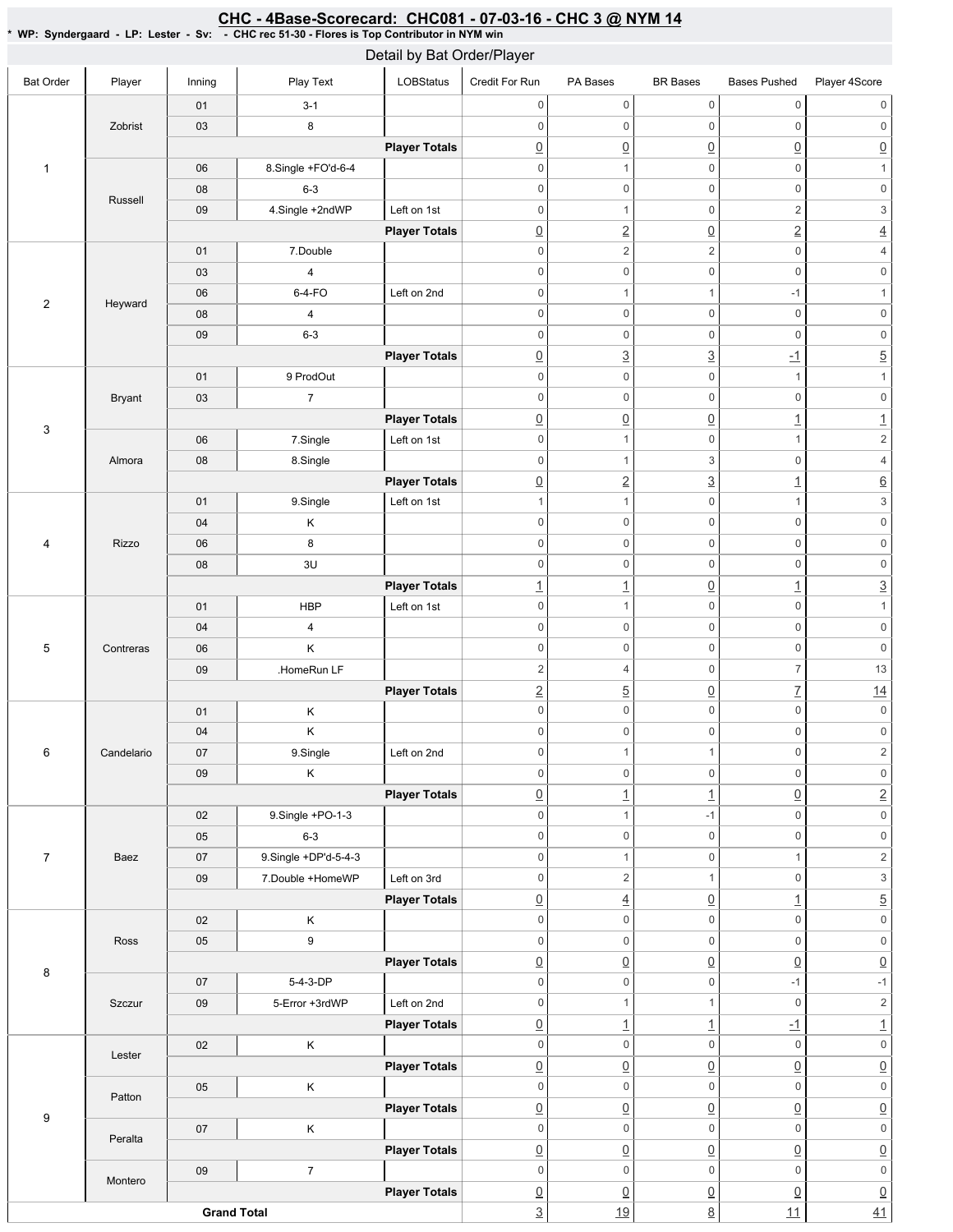|                           |               |                    |                         | Detail by Bat Order/Player |                                     |                                        |                                |                                         |                                                 |
|---------------------------|---------------|--------------------|-------------------------|----------------------------|-------------------------------------|----------------------------------------|--------------------------------|-----------------------------------------|-------------------------------------------------|
| <b>Bat Order</b>          | Player        | Inning             | Play Text               | LOBStatus                  | Credit For Run                      | PA Bases                               | <b>BR</b> Bases                | <b>Bases Pushed</b>                     | Player 4Score                                   |
|                           |               | 01                 | $3 - 1$                 |                            | $\mathbb O$                         | $\mathsf{O}\xspace$                    | $\mathsf 0$                    | $\mathsf 0$                             | $\boldsymbol{0}$                                |
|                           | Zobrist       | 03                 | 8                       |                            | $\boldsymbol{0}$                    | $\mathbf 0$                            | $\mathsf 0$                    | $\boldsymbol{0}$                        | $\boldsymbol{0}$                                |
|                           |               |                    |                         | <b>Player Totals</b>       | $\underline{0}$                     | $\underline{0}$                        | $\underline{0}$                | $\underline{0}$                         | $\underline{0}$                                 |
| $\mathbf{1}$              |               | 06                 | 8.Single +FO'd-6-4      |                            | $\mathbf 0$                         | $\mathbf{1}$                           | $\mathsf 0$                    | $\mathsf 0$                             | $\mathbf{1}$                                    |
|                           | Russell       | 08                 | $6 - 3$                 |                            | $\mathbf 0$                         | $\mathsf{O}\xspace$                    | $\mathsf 0$                    | $\mathsf 0$                             | $\mathsf{O}\xspace$                             |
|                           |               | 09                 | 4.Single +2ndWP         | Left on 1st                | $\boldsymbol{0}$                    | $\mathbf{1}$                           | 0                              | $\overline{2}$                          | $\ensuremath{\mathsf{3}}$                       |
|                           |               |                    |                         | <b>Player Totals</b>       | $\underline{0}$                     | $\overline{2}$                         | $\underline{0}$                | $\overline{2}$                          | $\overline{4}$                                  |
|                           |               | 01                 | 7.Double                |                            | $\boldsymbol{0}$                    | $\overline{2}$                         | $\overline{c}$                 | $\mathsf 0$                             | $\overline{4}$                                  |
|                           |               | 03                 | $\pmb{4}$               |                            | $\mathbf 0$                         | $\mathsf{O}\xspace$                    | $\mathsf 0$                    | $\mathsf 0$                             | $\mathsf 0$                                     |
| $\sqrt{2}$                | Heyward       | 06                 | $6-4-FO$                | Left on 2nd                | $\mathbf 0$                         | $\mathbf{1}$                           | $\mathbf{1}$                   | $-1$                                    | 1                                               |
|                           |               | 08                 | $\overline{\mathbf{4}}$ |                            | $\boldsymbol{0}$                    | $\mathsf{O}\xspace$                    | $\mathsf 0$                    | $\mathbf 0$                             | $\mathsf{O}\xspace$                             |
|                           |               | 09                 | $6 - 3$                 |                            | $\mathbf 0$                         | $\mathsf{O}\xspace$                    | $\mathsf 0$                    | $\mathsf 0$                             | $\mathsf{0}$                                    |
|                           |               |                    |                         | <b>Player Totals</b>       | $\underline{0}$                     | $\overline{3}$                         | $\overline{3}$                 | $-1$                                    | $\overline{5}$                                  |
|                           |               | 01                 | 9 ProdOut               |                            | $\mathbf 0$                         | $\mathsf{O}\xspace$                    | $\mathsf 0$                    | $\mathbf{1}$                            | $\mathbf{1}$                                    |
|                           | <b>Bryant</b> | 03                 | $\overline{7}$          |                            | $\mathbf 0$                         | $\mathsf{O}\xspace$                    | $\mathsf 0$                    | $\mathsf 0$                             | $\mathsf{O}\xspace$                             |
| $\ensuremath{\mathsf{3}}$ |               |                    |                         | <b>Player Totals</b>       | $\underline{0}$                     | $\underline{0}$                        | $\underline{0}$                | $\underline{\mathbf{1}}$                | $\overline{1}$                                  |
|                           |               | 06                 | 7.Single                | Left on 1st                | $\mathbf 0$                         | $\mathbf{1}$                           | $\mathsf 0$                    | $\mathbf{1}$                            | $\sqrt{2}$                                      |
|                           | Almora        | 08                 | 8.Single                |                            | $\mathbf 0$                         | $\mathbf{1}$                           | 3                              | $\mathsf{O}\xspace$                     | $\sqrt{4}$                                      |
|                           |               |                    |                         | <b>Player Totals</b>       | $\overline{0}$                      | $\overline{2}$                         | $\overline{3}$                 | $\underline{\mathbf{1}}$                | $\underline{6}$                                 |
|                           |               | 01                 | 9.Single                | Left on 1st                | $\overline{1}$                      | $\mathbf{1}$                           | $\mathsf{O}\xspace$            | $\mathbf{1}$                            | $\overline{3}$                                  |
|                           |               | 04                 | Κ                       |                            | $\mathbf 0$                         | $\mathsf{O}\xspace$                    | $\mathsf 0$                    | $\mathsf 0$                             | $\mathsf{O}\xspace$                             |
| 4                         | <b>Rizzo</b>  | 06                 | 8                       |                            | $\mathbf 0$                         | $\mathsf{O}\xspace$                    | $\mathsf 0$                    | $\mathsf{O}\xspace$                     | $\mathsf{O}\xspace$                             |
|                           |               | 08                 | 3U                      |                            | $\mathbf 0$                         | $\mathsf{O}\xspace$                    | $\mathsf 0$                    | $\boldsymbol{0}$                        | $\mathsf{O}\xspace$                             |
|                           |               |                    |                         | <b>Player Totals</b>       | $\overline{1}$                      | $\overline{1}$                         | $\underline{0}$                | $\underline{\mathbf{1}}$                | $\overline{3}$                                  |
|                           |               | 01                 | <b>HBP</b>              | Left on 1st                | $\mathbf 0$                         | $\mathbf{1}$                           | $\mathsf 0$                    | $\mathbb O$                             | $\mathbf{1}$                                    |
|                           |               | 04                 | 4                       |                            | $\mathbf 0$                         | $\mathsf{O}\xspace$                    | $\mathsf{O}\xspace$            | $\mathsf 0$                             | $\mathsf{O}\xspace$                             |
| 5                         | Contreras     | 06                 | Κ                       |                            | $\mathbf 0$                         | $\mathsf{O}\xspace$                    | $\mathsf 0$                    | $\mathsf{O}\xspace$                     | $\mathsf{0}$                                    |
|                           |               | 09                 | .HomeRun LF             |                            | $\sqrt{2}$                          | $\overline{4}$                         | $\mathsf 0$                    | $\overline{7}$                          | 13                                              |
|                           |               |                    |                         | <b>Player Totals</b>       | $\overline{2}$                      | $\overline{5}$                         | $\underline{0}$                | $\underline{\mathcal{I}}$               | 14                                              |
|                           |               | 01                 | Κ                       |                            | $\mathbf 0$                         | $\mathsf{O}\xspace$                    | $\mathsf 0$                    | $\mathsf 0$                             | $\mathsf{O}\xspace$                             |
|                           |               | 04                 | Κ                       |                            | 0                                   | 0                                      | 0                              | 0                                       | 0                                               |
| 6                         | Candelario    | 07                 | 9.Single                | Left on 2nd                | $\mathbf 0$                         | $\mathbf{1}$                           | $\mathbf{1}$                   | $\mathbf 0$                             | $\overline{c}$                                  |
|                           |               | 09                 | Κ                       |                            | $\mathbf 0$                         | $\mathsf{O}\xspace$                    | $\mathsf 0$                    | $\mathsf 0$                             | $\mathsf{O}\xspace$                             |
|                           |               |                    |                         | <b>Player Totals</b>       | $\underline{0}$                     | $\overline{1}$                         | $\overline{1}$                 | $\underline{0}$                         | $\underline{2}$                                 |
|                           |               | 02                 | 9.Single +PO-1-3        |                            | $\mathbf 0$                         | 1                                      | $-1$                           | $\mathbb O$                             | $\mathsf{O}\xspace$                             |
|                           |               | 05                 | $6 - 3$                 |                            | $\mathbf 0$                         | $\mathsf{O}\xspace$                    | $\mathsf 0$                    | $\mathsf{O}\xspace$                     | $\mathsf{O}\xspace$                             |
| $\overline{7}$            | Baez          | 07                 | 9.Single +DP'd-5-4-3    |                            | $\mathbf 0$<br>$\mathbf 0$          | $\mathbf{1}$<br>$\overline{2}$         | $\mathsf 0$<br>$\mathbf{1}$    | $\mathbf{1}$<br>$\mathsf 0$             | $\sqrt{2}$<br>$\ensuremath{\mathsf{3}}$         |
|                           |               | 09                 | 7.Double +HomeWP        | Left on 3rd                |                                     |                                        |                                |                                         |                                                 |
|                           |               | 02                 | K                       | <b>Player Totals</b>       | $\underline{0}$<br>$\boldsymbol{0}$ | $\overline{4}$<br>$\mathsf{O}\xspace$  | $\underline{0}$<br>$\mathsf 0$ | $\underline{\mathbf{1}}$<br>$\mathbb O$ | $\overline{5}$<br>$\mathsf{O}\xspace$           |
|                           | Ross          | 05                 | 9                       |                            | $\mathbf 0$                         | $\mathsf{O}\xspace$                    | $\mathsf 0$                    | $\mathbb O$                             | $\mathsf{0}$                                    |
|                           |               |                    |                         | <b>Player Totals</b>       |                                     | $\underline{0}$                        | $\underline{0}$                | $\underline{0}$                         |                                                 |
| 8                         |               | 07                 | 5-4-3-DP                |                            | $\underline{0}$<br>$\mathbb O$      | $\mathsf{O}\xspace$                    | $\mathsf 0$                    | $-1$                                    | $\underline{0}$<br>$-1$                         |
|                           |               | 09                 | 5-Error +3rdWP          | Left on 2nd                | $\bf 0$                             | 1                                      | $\mathbf{1}$                   | $\mathbf 0$                             | $\sqrt{2}$                                      |
|                           | Szczur        |                    |                         |                            |                                     |                                        |                                |                                         |                                                 |
|                           |               |                    | Κ                       | <b>Player Totals</b>       | $\underline{0}$<br>$\mathbf 0$      | $\overline{1}$<br>$\mathsf{O}\xspace$  | $\underline{1}$<br>$\mathsf 0$ | $-1$<br>$\mathsf 0$                     | $\underline{\mathbf{1}}$<br>$\mathsf{O}\xspace$ |
|                           | Lester        | 02                 |                         |                            |                                     |                                        |                                |                                         |                                                 |
|                           |               |                    |                         | <b>Player Totals</b>       | $\underline{0}$<br>$\mathbf 0$      | $\underline{0}$<br>$\mathsf{O}\xspace$ | $\underline{0}$<br>$\mathsf 0$ | $\underline{0}$<br>$\mathbb O$          | $\underline{0}$<br>$\mathsf{O}\xspace$          |
|                           | Patton        | 05                 | K                       |                            |                                     |                                        |                                |                                         |                                                 |
| 9                         |               |                    |                         | <b>Player Totals</b>       | $\underline{0}$<br>$\mathsf 0$      | $\underline{0}$<br>$\mathbf 0$         | $\underline{0}$<br>$\mathsf 0$ | $\underline{0}$<br>$\mathbf 0$          | $\underline{0}$                                 |
|                           | Peralta       | 07                 | Κ                       |                            |                                     |                                        |                                |                                         | $\mathsf{O}\xspace$                             |
|                           |               |                    |                         | <b>Player Totals</b>       | $\underline{0}$<br>$\mathsf 0$      | $\underline{0}$<br>$\mathsf{O}$        | $\underline{0}$<br>$\mathsf 0$ | $\underline{0}$<br>$\mathsf 0$          | $\underline{0}$<br>$\mathsf{O}\xspace$          |
|                           | Montero       | 09                 | $\overline{7}$          |                            |                                     |                                        |                                |                                         |                                                 |
|                           |               |                    |                         | <b>Player Totals</b>       | $\underline{0}$                     | $\underline{0}$                        | $\underline{0}$                | $\underline{0}$                         | $\overline{0}$<br>$\overline{41}$               |
|                           |               | <b>Grand Total</b> |                         |                            | $\overline{3}$                      | 19                                     | $\underline{8}$                | 11                                      |                                                 |

CHC - 4Base-Scorecard: CHC081 - 07-03-16 - CHC 3 @ NYM 14